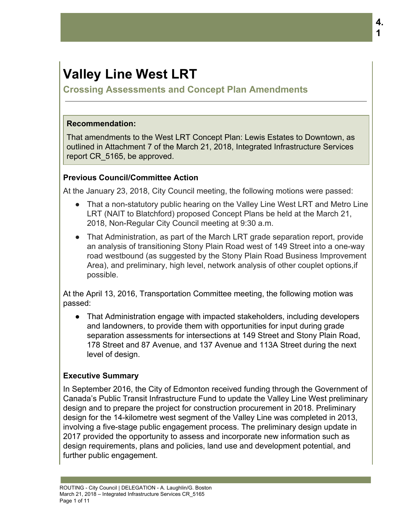# **Valley Line West LRT**

**Crossing Assessments and Concept Plan Amendments**

### **Recommendation:**

That amendments to the West LRT Concept Plan: Lewis Estates to Downtown, as outlined in Attachment 7 of the March 21, 2018, Integrated Infrastructure Services report CR\_5165, be approved.

## **Previous Council/Committee Action**

At the January 23, 2018, City Council meeting, the following motions were passed:

- That a non-statutory public hearing on the Valley Line West LRT and Metro Line LRT (NAIT to Blatchford) proposed Concept Plans be held at the March 21, 2018, Non-Regular City Council meeting at 9:30 a.m.
- That Administration, as part of the March LRT grade separation report, provide an analysis of transitioning Stony Plain Road west of 149 Street into a one-way road westbound (as suggested by the Stony Plain Road Business Improvement Area), and preliminary, high level, network analysis of other couplet options,if possible.

At the April 13, 2016, Transportation Committee meeting, the following motion was passed:

● That Administration engage with impacted stakeholders, including developers and landowners, to provide them with opportunities for input during grade separation assessments for intersections at 149 Street and Stony Plain Road, 178 Street and 87 Avenue, and 137 Avenue and 113A Street during the next level of design.

## **Executive Summary**

In September 2016, the City of Edmonton received funding through the Government of Canada's Public Transit Infrastructure Fund to update the Valley Line West preliminary design and to prepare the project for construction procurement in 2018. Preliminary design for the 14-kilometre west segment of the Valley Line was completed in 2013, involving a five-stage public engagement process. The preliminary design update in 2017 provided the opportunity to assess and incorporate new information such as design requirements, plans and policies, land use and development potential, and further public engagement.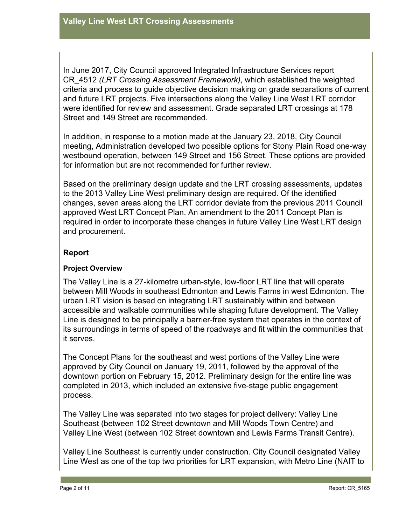In June 2017, City Council approved Integrated Infrastructure Services report CR\_4512 *(LRT Crossing Assessment Framework)*, which established the weighted criteria and process to guide objective decision making on grade separations of current and future LRT projects. Five intersections along the Valley Line West LRT corridor were identified for review and assessment. Grade separated LRT crossings at 178 Street and 149 Street are recommended.

In addition, in response to a motion made at the January 23, 2018, City Council meeting, Administration developed two possible options for Stony Plain Road one-way westbound operation, between 149 Street and 156 Street. These options are provided for information but are not recommended for further review.

Based on the preliminary design update and the LRT crossing assessments, updates to the 2013 Valley Line West preliminary design are required. Of the identified changes, seven areas along the LRT corridor deviate from the previous 2011 Council approved West LRT Concept Plan. An amendment to the 2011 Concept Plan is required in order to incorporate these changes in future Valley Line West LRT design and procurement.

### **Report**

### **Project Overview**

The Valley Line is a 27-kilometre urban-style, low-floor LRT line that will operate between Mill Woods in southeast Edmonton and Lewis Farms in west Edmonton. The urban LRT vision is based on integrating LRT sustainably within and between accessible and walkable communities while shaping future development. The Valley Line is designed to be principally a barrier-free system that operates in the context of its surroundings in terms of speed of the roadways and fit within the communities that it serves.

The Concept Plans for the southeast and west portions of the Valley Line were approved by City Council on January 19, 2011, followed by the approval of the downtown portion on February 15, 2012. Preliminary design for the entire line was completed in 2013, which included an extensive five-stage public engagement process.

The Valley Line was separated into two stages for project delivery: Valley Line Southeast (between 102 Street downtown and Mill Woods Town Centre) and Valley Line West (between 102 Street downtown and Lewis Farms Transit Centre).

Valley Line Southeast is currently under construction. City Council designated Valley Line West as one of the top two priorities for LRT expansion, with Metro Line (NAIT to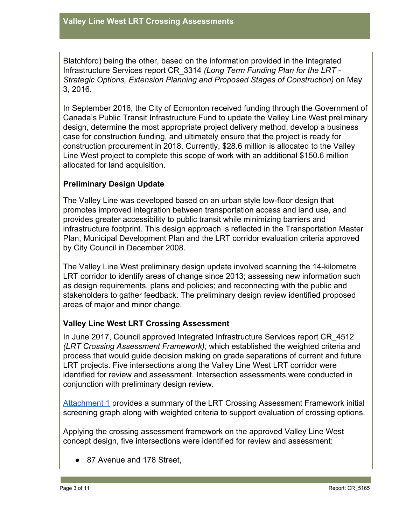Blatchford) being the other, based on the information provided in the Integrated Infrastructure Services report CR\_3314 *(Long Term Funding Plan for the LRT - Strategic Options, Extension Planning and Proposed Stages of Construction)* on May 3, 2016.

In September 2016, the City of Edmonton received funding through the Government of Canada's Public Transit Infrastructure Fund to update the Valley Line West preliminary design, determine the most appropriate project delivery method, develop a business case for construction funding, and ultimately ensure that the project is ready for construction procurement in 2018. Currently, \$28.6 million is allocated to the Valley Line West project to complete this scope of work with an additional \$150.6 million allocated for land acquisition.

### **Preliminary Design Update**

The Valley Line was developed based on an urban style low-floor design that promotes improved integration between transportation access and land use, and provides greater accessibility to public transit while minimizing barriers and infrastructure footprint. This design approach is reflected in the Transportation Master Plan, Municipal Development Plan and the LRT corridor evaluation criteria approved by City Council in December 2008.

The Valley Line West preliminary design update involved scanning the 14-kilometre LRT corridor to identify areas of change since 2013; assessing new information such as design requirements, plans and policies; and reconnecting with the public and stakeholders to gather feedback. The preliminary design review identified proposed areas of major and minor change.

#### **Valley Line West LRT Crossing Assessment**

In June 2017, Council approved Integrated Infrastructure Services report CR\_4512 *(LRT Crossing Assessment Framework)*, which established the weighted criteria and process that would guide decision making on grade separations of current and future LRT projects. Five intersections along the Valley Line West LRT corridor were identified for review and assessment. Intersection assessments were conducted in conjunction with preliminary design review.

[Attachment 1](https://docs.google.com/document/d/1ckd68RgeE7wI9jD9fixZVy5sXxjVQaX8y7_hdMYeyoQ/edit?usp=sharing) provides a summary of the LRT Crossing Assessment Framework initial screening graph along with weighted criteria to support evaluation of crossing options.

Applying the crossing assessment framework on the approved Valley Line West concept design, five intersections were identified for review and assessment:

● 87 Avenue and 178 Street,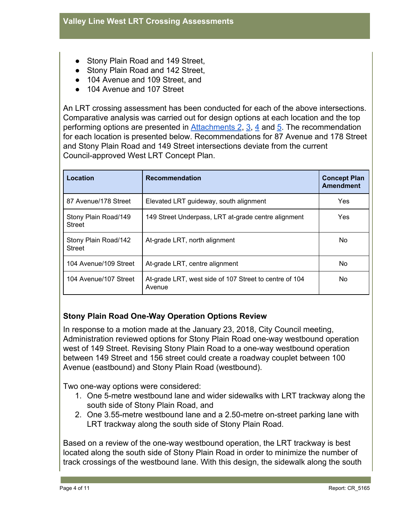- Stony Plain Road and 149 Street,
- Stony Plain Road and 142 Street,
- 104 Avenue and 109 Street, and
- 104 Avenue and 107 Street

An LRT crossing assessment has been conducted for each of the above intersections. Comparative analysis was carried out for design options at each location and the top performing options are presented in [Attachments 2](https://docs.google.com/document/d/1Xv0bmazENg-kYaJvW_V-QJRY4mkt_EH6vA0eLRzTLHw/edit?usp=sharing), [3](https://docs.google.com/document/d/1A-t9l7mwVx6Uvc0wwsYB6eqJoeIcu3Pdg6HQos_9amc/edit?usp=sharing), [4](https://docs.google.com/document/d/1WlnKgCYoGBRRXak4MN6uhk5kmlE3WqGekbYqJXMuoag/edit?usp=sharing) and [5](https://docs.google.com/document/d/1G9E6eUIsvbYFtI-61KgD1iHharaWPab2RuLMWWaSlX0/edit?usp=sharing). The recommendation for each location is presented below. Recommendations for 87 Avenue and 178 Street and Stony Plain Road and 149 Street intersections deviate from the current Council-approved West LRT Concept Plan.

| Location                              | <b>Recommendation</b>                                            | <b>Concept Plan</b><br><b>Amendment</b> |
|---------------------------------------|------------------------------------------------------------------|-----------------------------------------|
| 87 Avenue/178 Street                  | Elevated LRT guideway, south alignment                           | Yes                                     |
| Stony Plain Road/149<br><b>Street</b> | 149 Street Underpass, LRT at-grade centre alignment              | Yes.                                    |
| Stony Plain Road/142<br><b>Street</b> | At-grade LRT, north alignment                                    | No                                      |
| 104 Avenue/109 Street                 | At-grade LRT, centre alignment                                   | No                                      |
| 104 Avenue/107 Street                 | At-grade LRT, west side of 107 Street to centre of 104<br>Avenue | Nο                                      |

### **Stony Plain Road One-Way Operation Options Review**

In response to a motion made at the January 23, 2018, City Council meeting, Administration reviewed options for Stony Plain Road one-way westbound operation west of 149 Street. Revising Stony Plain Road to a one-way westbound operation between 149 Street and 156 street could create a roadway couplet between 100 Avenue (eastbound) and Stony Plain Road (westbound).

Two one-way options were considered:

- 1. One 5-metre westbound lane and wider sidewalks with LRT trackway along the south side of Stony Plain Road, and
- 2. One 3.55-metre westbound lane and a 2.50-metre on-street parking lane with LRT trackway along the south side of Stony Plain Road.

Based on a review of the one-way westbound operation, the LRT trackway is best located along the south side of Stony Plain Road in order to minimize the number of track crossings of the westbound lane. With this design, the sidewalk along the south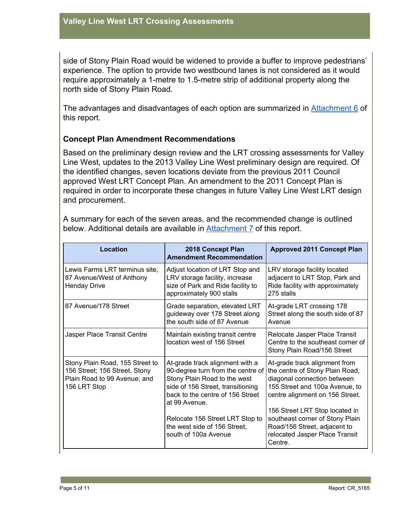#### **Valley Line West LRT Crossing Assessments**

side of Stony Plain Road would be widened to provide a buffer to improve pedestrians' experience. The option to provide two westbound lanes is not considered as it would require approximately a 1-metre to 1.5-metre strip of additional property along the north side of Stony Plain Road.

The advantages and disadvantages of each option are summarized in [Attachment 6](https://docs.google.com/document/d/1qRunQhnWTNELZYbtT2ORMO01HHzbUcnzWuN7BJmxwEo/edit?usp=sharing) of this report.

#### **Concept Plan Amendment Recommendations**

Based on the preliminary design review and the LRT crossing assessments for Valley Line West, updates to the 2013 Valley Line West preliminary design are required. Of the identified changes, seven locations deviate from the previous 2011 Council approved West LRT Concept Plan. An amendment to the 2011 Concept Plan is required in order to incorporate these changes in future Valley Line West LRT design and procurement.

A summary for each of the seven areas, and the recommended change is outlined below. Additional details are available in **Attachment 7** of this report.

| Location                                                                                                         | 2018 Concept Plan<br><b>Amendment Recommendation</b>                                                                                                                                                                                                                                      | <b>Approved 2011 Concept Plan</b>                                                                                                                                                                                                                                                                                      |
|------------------------------------------------------------------------------------------------------------------|-------------------------------------------------------------------------------------------------------------------------------------------------------------------------------------------------------------------------------------------------------------------------------------------|------------------------------------------------------------------------------------------------------------------------------------------------------------------------------------------------------------------------------------------------------------------------------------------------------------------------|
| Lewis Farms LRT terminus site,<br>87 Avenue/West of Anthony<br><b>Henday Drive</b>                               | Adjust location of LRT Stop and<br>LRV storage facility, increase<br>size of Park and Ride facility to<br>approximately 900 stalls                                                                                                                                                        | LRV storage facility located<br>adjacent to LRT Stop, Park and<br>Ride facility with approximately<br>275 stalls                                                                                                                                                                                                       |
| 87 Avenue/178 Street                                                                                             | Grade separation, elevated LRT<br>guideway over 178 Street along<br>the south side of 87 Avenue                                                                                                                                                                                           | At-grade LRT crossing 178<br>Street along the south side of 87<br>Avenue                                                                                                                                                                                                                                               |
| Jasper Place Transit Centre                                                                                      | Maintain existing transit centre<br>location west of 156 Street                                                                                                                                                                                                                           | Relocate Jasper Place Transit<br>Centre to the southeast corner of<br>Stony Plain Road/156 Street                                                                                                                                                                                                                      |
| Stony Plain Road, 155 Street to<br>156 Street; 156 Street, Stony<br>Plain Road to 99 Avenue; and<br>156 LRT Stop | At-grade track alignment with a<br>90-degree turn from the centre of<br>Stony Plain Road to the west<br>side of 156 Street, transitioning<br>back to the centre of 156 Street<br>at 99 Avenue.<br>Relocate 156 Street LRT Stop to<br>the west side of 156 Street,<br>south of 100a Avenue | At-grade track alignment from<br>the centre of Stony Plain Road,<br>diagonal connection between<br>155 Street and 100a Avenue, to<br>centre alignment on 156 Street.<br>156 Street LRT Stop located in<br>southeast corner of Stony Plain<br>Road/156 Street, adjacent to<br>relocated Jasper Place Transit<br>Centre. |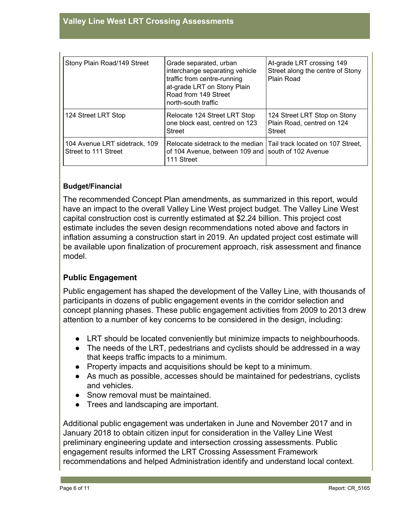| Stony Plain Road/149 Street                           | Grade separated, urban<br>interchange separating vehicle<br>traffic from centre-running<br>at-grade LRT on Stony Plain<br>Road from 149 Street<br>north-south traffic | At-grade LRT crossing 149<br>Street along the centre of Stony<br>Plain Road |
|-------------------------------------------------------|-----------------------------------------------------------------------------------------------------------------------------------------------------------------------|-----------------------------------------------------------------------------|
| 124 Street LRT Stop                                   | Relocate 124 Street LRT Stop<br>one block east, centred on 123<br><b>Street</b>                                                                                       | 124 Street LRT Stop on Stony<br>Plain Road, centred on 124<br><b>Street</b> |
| 104 Avenue LRT sidetrack, 109<br>Street to 111 Street | Relocate sidetrack to the median   Tail track located on 107 Street,<br>of 104 Avenue, between 109 and South of 102 Avenue<br>111 Street                              |                                                                             |

#### **Budget/Financial**

The recommended Concept Plan amendments, as summarized in this report, would have an impact to the overall Valley Line West project budget. The Valley Line West capital construction cost is currently estimated at \$2.24 billion. This project cost estimate includes the seven design recommendations noted above and factors in inflation assuming a construction start in 2019. An updated project cost estimate will be available upon finalization of procurement approach, risk assessment and finance model.

### **Public Engagement**

Public engagement has shaped the development of the Valley Line, with thousands of participants in dozens of public engagement events in the corridor selection and concept planning phases. These public engagement activities from 2009 to 2013 drew attention to a number of key concerns to be considered in the design, including:

- LRT should be located conveniently but minimize impacts to neighbourhoods.
- The needs of the LRT, pedestrians and cyclists should be addressed in a way that keeps traffic impacts to a minimum.
- Property impacts and acquisitions should be kept to a minimum.
- As much as possible, accesses should be maintained for pedestrians, cyclists and vehicles.
- Snow removal must be maintained.
- Trees and landscaping are important.

Additional public engagement was undertaken in June and November 2017 and in January 2018 to obtain citizen input for consideration in the Valley Line West preliminary engineering update and intersection crossing assessments. Public engagement results informed the LRT Crossing Assessment Framework recommendations and helped Administration identify and understand local context.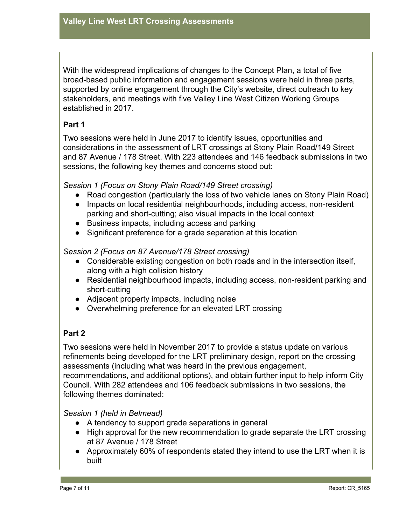With the widespread implications of changes to the Concept Plan, a total of five broad-based public information and engagement sessions were held in three parts, supported by online engagement through the City's website, direct outreach to key stakeholders, and meetings with five Valley Line West Citizen Working Groups established in 2017.

## **Part 1**

Two sessions were held in June 2017 to identify issues, opportunities and considerations in the assessment of LRT crossings at Stony Plain Road/149 Street and 87 Avenue / 178 Street. With 223 attendees and 146 feedback submissions in two sessions, the following key themes and concerns stood out:

*Session 1 (Focus on Stony Plain Road/149 Street crossing)*

- Road congestion (particularly the loss of two vehicle lanes on Stony Plain Road)
- Impacts on local residential neighbourhoods, including access, non-resident parking and short-cutting; also visual impacts in the local context
- Business impacts, including access and parking
- Significant preference for a grade separation at this location

*Session 2 (Focus on 87 Avenue/178 Street crossing)*

- Considerable existing congestion on both roads and in the intersection itself, along with a high collision history
- Residential neighbourhood impacts, including access, non-resident parking and short-cutting
- Adjacent property impacts, including noise
- Overwhelming preference for an elevated LRT crossing

## **Part 2**

Two sessions were held in November 2017 to provide a status update on various refinements being developed for the LRT preliminary design, report on the crossing assessments (including what was heard in the previous engagement, recommendations, and additional options), and obtain further input to help inform City Council. With 282 attendees and 106 feedback submissions in two sessions, the following themes dominated:

*Session 1 (held in Belmead)*

- A tendency to support grade separations in general
- High approval for the new recommendation to grade separate the LRT crossing at 87 Avenue / 178 Street
- Approximately 60% of respondents stated they intend to use the LRT when it is built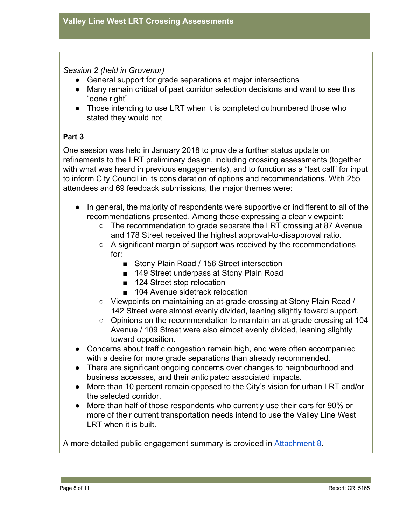## *Session 2 (held in Grovenor)*

- General support for grade separations at major intersections
- Many remain critical of past corridor selection decisions and want to see this "done right"
- Those intending to use LRT when it is completed outnumbered those who stated they would not

## **Part 3**

One session was held in January 2018 to provide a further status update on refinements to the LRT preliminary design, including crossing assessments (together with what was heard in previous engagements), and to function as a "last call" for input to inform City Council in its consideration of options and recommendations. With 255 attendees and 69 feedback submissions, the major themes were:

- In general, the majority of respondents were supportive or indifferent to all of the recommendations presented. Among those expressing a clear viewpoint:
	- $\circ$  The recommendation to grade separate the LRT crossing at 87 Avenue and 178 Street received the highest approval-to-disapproval ratio.
	- A significant margin of support was received by the recommendations for:
		- Stony Plain Road / 156 Street intersection
		- 149 Street underpass at Stony Plain Road
		- 124 Street stop relocation
		- 104 Avenue sidetrack relocation
	- Viewpoints on maintaining an at-grade crossing at Stony Plain Road / 142 Street were almost evenly divided, leaning slightly toward support.
	- Opinions on the recommendation to maintain an at-grade crossing at 104 Avenue / 109 Street were also almost evenly divided, leaning slightly toward opposition.
- Concerns about traffic congestion remain high, and were often accompanied with a desire for more grade separations than already recommended.
- There are significant ongoing concerns over changes to neighbourhood and business accesses, and their anticipated associated impacts.
- More than 10 percent remain opposed to the City's vision for urban LRT and/or the selected corridor.
- More than half of those respondents who currently use their cars for 90% or more of their current transportation needs intend to use the Valley Line West LRT when it is built.

A more detailed public engagement summary is provided in [Attachment 8](https://drive.google.com/open?id=1H3H0H9gSkX_mUk9W4KPMVcQM4Z_scfNj).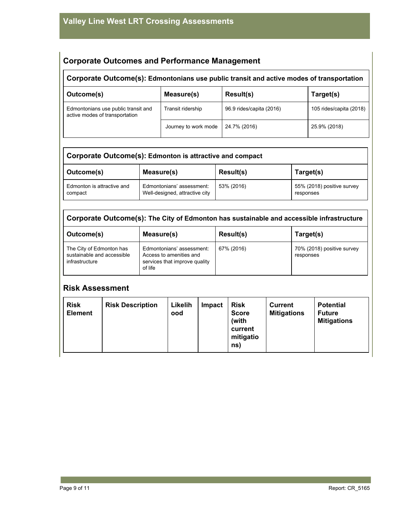## **Corporate Outcomes and Performance Management**

| Corporate Outcome(s): Edmontonians use public transit and active modes of transportation |                      |                          |                         |  |  |  |  |
|------------------------------------------------------------------------------------------|----------------------|--------------------------|-------------------------|--|--|--|--|
| Outcome(s)<br>Measure(s)<br>Result(s)<br>Target(s)                                       |                      |                          |                         |  |  |  |  |
| Edmontonians use public transit and<br>active modes of transportation                    | Transit ridership    | 96.9 rides/capita (2016) | 105 rides/capita (2018) |  |  |  |  |
|                                                                                          | Journey to work mode | 24.7% (2016)             | 25.9% (2018)            |  |  |  |  |

#### **Corporate Outcome(s): Edmonton is attractive and compact**

| Outcome(s)                 | Measure(s)                     | <b>Result(s)</b> | Target(s)                  |
|----------------------------|--------------------------------|------------------|----------------------------|
| Edmonton is attractive and | Edmontonians' assessment:      | 53% (2016)       | 55% (2018) positive survey |
| compact                    | Well-designed, attractive city |                  | responses                  |

#### **Corporate Outcome(s): The City of Edmonton has sustainable and accessible infrastructure**

| Outcome(s)                                                               | Measure(s)                                                                                       | <b>Result(s)</b> | Target(s)                               |
|--------------------------------------------------------------------------|--------------------------------------------------------------------------------------------------|------------------|-----------------------------------------|
| The City of Edmonton has<br>sustainable and accessible<br>infrastructure | Edmontonians' assessment:<br>Access to amenities and<br>services that improve quality<br>of life | 67% (2016)       | 70% (2018) positive survey<br>responses |

#### **Risk Assessment**

| <b>Risk</b><br><b>Element</b> | <b>Risk Description</b> | Likelih<br>ood | Impact | <b>Risk</b><br><b>Score</b><br>(with<br>current<br>mitigatio<br>ns) | <b>Current</b><br><b>Mitigations</b> | <b>Potential</b><br>Future<br><b>Mitigations</b> |
|-------------------------------|-------------------------|----------------|--------|---------------------------------------------------------------------|--------------------------------------|--------------------------------------------------|
|-------------------------------|-------------------------|----------------|--------|---------------------------------------------------------------------|--------------------------------------|--------------------------------------------------|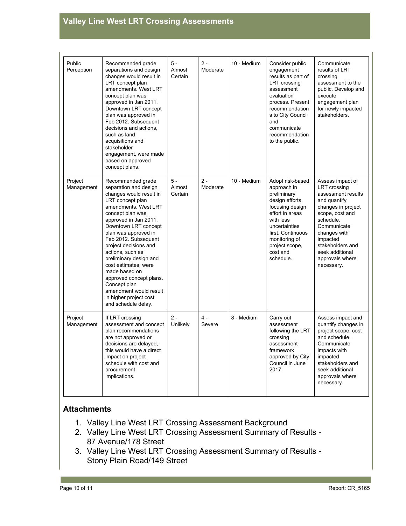## **Valley Line West LRT Crossing Assessments**

| Public<br>Perception  | Recommended grade<br>separations and design<br>changes would result in<br>LRT concept plan<br>amendments. West LRT<br>concept plan was<br>approved in Jan 2011.<br>Downtown LRT concept<br>plan was approved in<br>Feb 2012. Subsequent<br>decisions and actions.<br>such as land<br>acquisitions and<br>stakeholder<br>engagement, were made<br>based on approved<br>concept plans.                                                                                         | $5 -$<br>Almost<br>Certain | $2 -$<br>Moderate | 10 - Medium | Consider public<br>engagement<br>results as part of<br>LRT crossing<br>assessment<br>evaluation<br>process. Present<br>recommendation<br>s to City Council<br>and<br>communicate<br>recommendation<br>to the public.   | Communicate<br>results of LRT<br>crossing<br>assessment to the<br>public. Develop and<br>execute<br>engagement plan<br>for newly impacted<br>stakeholders.                                                                                      |
|-----------------------|------------------------------------------------------------------------------------------------------------------------------------------------------------------------------------------------------------------------------------------------------------------------------------------------------------------------------------------------------------------------------------------------------------------------------------------------------------------------------|----------------------------|-------------------|-------------|------------------------------------------------------------------------------------------------------------------------------------------------------------------------------------------------------------------------|-------------------------------------------------------------------------------------------------------------------------------------------------------------------------------------------------------------------------------------------------|
| Project<br>Management | Recommended grade<br>separation and design<br>changes would result in<br>LRT concept plan<br>amendments. West LRT<br>concept plan was<br>approved in Jan 2011.<br>Downtown LRT concept<br>plan was approved in<br>Feb 2012. Subsequent<br>project decisions and<br>actions, such as<br>preliminary design and<br>cost estimates, were<br>made based on<br>approved concept plans.<br>Concept plan<br>amendment would result<br>in higher project cost<br>and schedule delay. | $5 -$<br>Almost<br>Certain | $2 -$<br>Moderate | 10 - Medium | Adopt risk-based<br>approach in<br>preliminary<br>design efforts,<br>focusing design<br>effort in areas<br>with less<br>uncertainties<br>first. Continuous<br>monitoring of<br>project scope,<br>cost and<br>schedule. | Assess impact of<br>LRT crossing<br>assessment results<br>and quantify<br>changes in project<br>scope, cost and<br>schedule.<br>Communicate<br>changes with<br>impacted<br>stakeholders and<br>seek additional<br>approvals where<br>necessary. |
| Project<br>Management | If LRT crossing<br>assessment and concept<br>plan recommendations<br>are not approved or<br>decisions are delayed,<br>this would have a direct<br>impact on project<br>schedule with cost and<br>procurement<br>implications.                                                                                                                                                                                                                                                | $2 -$<br>Unlikely          | $4 -$<br>Severe   | 8 - Medium  | Carry out<br>assessment<br>following the LRT<br>crossing<br>assessment<br>framework<br>approved by City<br>Council in June<br>2017.                                                                                    | Assess impact and<br>quantify changes in<br>project scope, cost<br>and schedule.<br>Communicate<br>impacts with<br>impacted<br>stakeholders and<br>seek additional<br>approvals where<br>necessary.                                             |

#### **Attachments**

- 1. Valley Line West LRT Crossing Assessment Background
- 2. Valley Line West LRT Crossing Assessment Summary of Results 87 Avenue/178 Street
- 3. Valley Line West LRT Crossing Assessment Summary of Results Stony Plain Road/149 Street